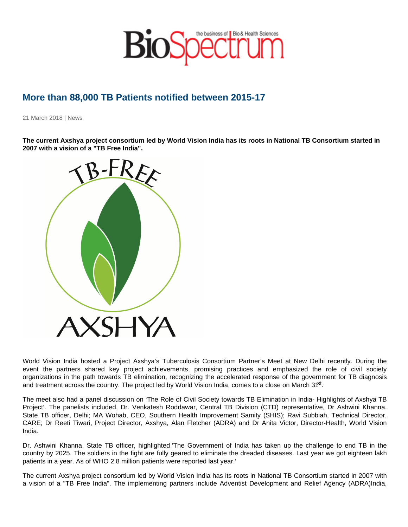## More than 88,000 TB Patients notified between 2015-17

21 March 2018 | News

The current Axshya project consortium led by World Vision India has its roots in National TB Consortium started in 2007 with a vision of a "TB Free India".

World Vision India hosted a Project Axshya's Tuberculosis Consortium Partner's Meet at New Delhi recently. During the event the partners shared key project achievements, promising practices and emphasized the role of civil society organizations in the path towards TB elimination, recognizing the accelerated response of the government for TB diagnosis and treatment across the country. The project led by World Vision India, comes to a close on March  $3<sup>6t</sup>$ .

The meet also had a panel discussion on 'The Role of Civil Society towards TB Elimination in India- Highlights of Axshya TB Project'. The panelists included, Dr. Venkatesh Roddawar, Central TB Division (CTD) representative, Dr Ashwini Khanna, State TB officer, Delhi; MA Wohab, CEO, Southern Health Improvement Samity (SHIS); Ravi Subbiah, Technical Director, CARE; Dr Reeti Tiwari, Project Director, Axshya, Alan Fletcher (ADRA) and Dr Anita Victor, Director-Health, World Vision India.

Dr. Ashwini Khanna, State TB officer, highlighted 'The Government of India has taken up the challenge to end TB in the country by 2025. The soldiers in the fight are fully geared to eliminate the dreaded diseases. Last year we got eighteen lakh patients in a year. As of WHO 2.8 million patients were reported last year.'

The current Axshya project consortium led by World Vision India has its roots in National TB Consortium started in 2007 with a vision of a "TB Free India". The implementing partners include Adventist Development and Relief Agency (ADRA)India,